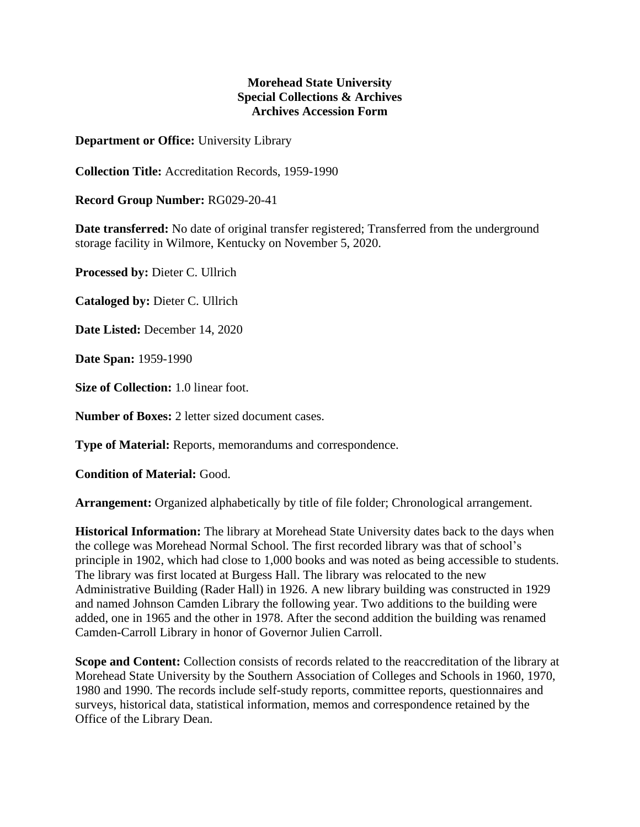## **Morehead State University Special Collections & Archives Archives Accession Form**

**Department or Office:** University Library

**Collection Title:** Accreditation Records, 1959-1990

**Record Group Number:** RG029-20-41

**Date transferred:** No date of original transfer registered; Transferred from the underground storage facility in Wilmore, Kentucky on November 5, 2020.

**Processed by:** Dieter C. Ullrich

**Cataloged by:** Dieter C. Ullrich

**Date Listed:** December 14, 2020

**Date Span:** 1959-1990

**Size of Collection:** 1.0 linear foot.

**Number of Boxes:** 2 letter sized document cases.

**Type of Material:** Reports, memorandums and correspondence.

**Condition of Material:** Good.

**Arrangement:** Organized alphabetically by title of file folder; Chronological arrangement.

**Historical Information:** The library at Morehead State University dates back to the days when the college was Morehead Normal School. The first recorded library was that of school's principle in 1902, which had close to 1,000 books and was noted as being accessible to students. The library was first located at Burgess Hall. The library was relocated to the new Administrative Building (Rader Hall) in 1926. A new library building was constructed in 1929 and named Johnson Camden Library the following year. Two additions to the building were added, one in 1965 and the other in 1978. After the second addition the building was renamed Camden-Carroll Library in honor of Governor Julien Carroll.

**Scope and Content:** Collection consists of records related to the reaccreditation of the library at Morehead State University by the Southern Association of Colleges and Schools in 1960, 1970, 1980 and 1990. The records include self-study reports, committee reports, questionnaires and surveys, historical data, statistical information, memos and correspondence retained by the Office of the Library Dean.